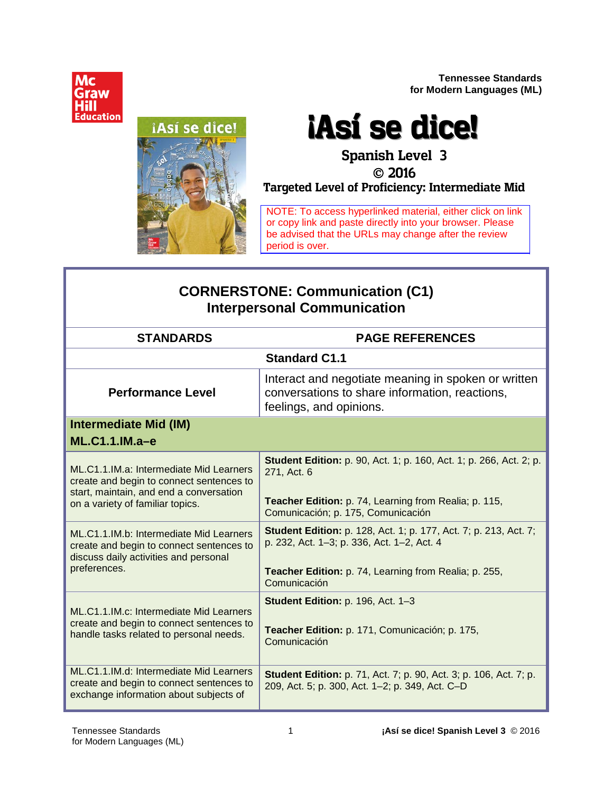

**Tennessee Standards for Modern Languages (ML)**

# ¡Así se dice!

# **¡Así se dice!**

# **Spanish Level 3**

#### **2016**

**Targeted Level of Proficiency: Intermediate Mid**

NOTE: To access hyperlinked material, either click on link or copy link and paste directly into your browser. Please be advised that the URLs may change after the review period is over.

# **CORNERSTONE: Communication (C1) Interpersonal Communication**

| <b>STANDARDS</b>                                                                                                                                                   | <b>PAGE REFERENCES</b>                                                                                                           |  |
|--------------------------------------------------------------------------------------------------------------------------------------------------------------------|----------------------------------------------------------------------------------------------------------------------------------|--|
|                                                                                                                                                                    | <b>Standard C1.1</b>                                                                                                             |  |
| <b>Performance Level</b>                                                                                                                                           | Interact and negotiate meaning in spoken or written<br>conversations to share information, reactions,<br>feelings, and opinions. |  |
| <b>Intermediate Mid (IM)</b>                                                                                                                                       |                                                                                                                                  |  |
| $ML.C1.1.M.a-e$                                                                                                                                                    |                                                                                                                                  |  |
| ML.C1.1.IM.a: Intermediate Mid Learners<br>create and begin to connect sentences to<br>start, maintain, and end a conversation<br>on a variety of familiar topics. | <b>Student Edition:</b> p. 90, Act. 1; p. 160, Act. 1; p. 266, Act. 2; p.<br>271, Act. 6                                         |  |
|                                                                                                                                                                    | Teacher Edition: p. 74, Learning from Realia; p. 115,<br>Comunicación; p. 175, Comunicación                                      |  |
| ML.C1.1.IM.b: Intermediate Mid Learners<br>create and begin to connect sentences to<br>discuss daily activities and personal                                       | <b>Student Edition:</b> p. 128, Act. 1; p. 177, Act. 7; p. 213, Act. 7;<br>p. 232, Act. 1-3; p. 336, Act. 1-2, Act. 4            |  |
| preferences.                                                                                                                                                       | Teacher Edition: p. 74, Learning from Realia; p. 255,<br>Comunicación                                                            |  |
| ML.C1.1.IM.c: Intermediate Mid Learners<br>create and begin to connect sentences to<br>handle tasks related to personal needs.                                     | Student Edition: p. 196, Act. 1-3<br>Teacher Edition: p. 171, Comunicación; p. 175,<br>Comunicación                              |  |
| ML.C1.1.IM.d: Intermediate Mid Learners<br>create and begin to connect sentences to<br>exchange information about subjects of                                      | <b>Student Edition:</b> p. 71, Act. 7; p. 90, Act. 3; p. 106, Act. 7; p.<br>209, Act. 5; p. 300, Act. 1-2; p. 349, Act. C-D      |  |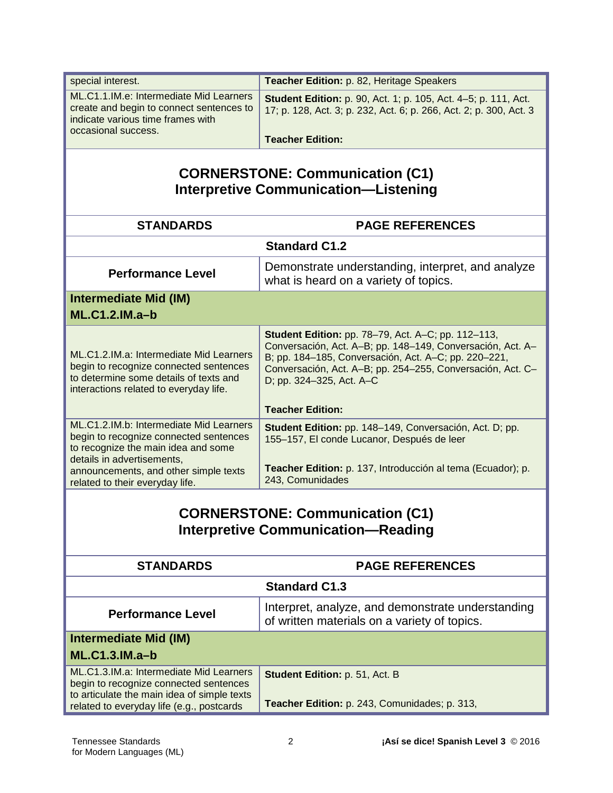| special interest.                                                                     | Teacher Edition: p. 82, Heritage Speakers                                                                                                   |  |
|---------------------------------------------------------------------------------------|---------------------------------------------------------------------------------------------------------------------------------------------|--|
| ML.C1.1.IM.e: Intermediate Mid Learners                                               |                                                                                                                                             |  |
| create and begin to connect sentences to                                              | <b>Student Edition:</b> p. 90, Act. 1; p. 105, Act. 4–5; p. 111, Act.<br>17; p. 128, Act. 3; p. 232, Act. 6; p. 266, Act. 2; p. 300, Act. 3 |  |
| indicate various time frames with                                                     |                                                                                                                                             |  |
| occasional success.                                                                   | <b>Teacher Edition:</b>                                                                                                                     |  |
|                                                                                       |                                                                                                                                             |  |
|                                                                                       | <b>CORNERSTONE: Communication (C1)</b>                                                                                                      |  |
|                                                                                       | <b>Interpretive Communication-Listening</b>                                                                                                 |  |
|                                                                                       |                                                                                                                                             |  |
| <b>STANDARDS</b>                                                                      | <b>PAGE REFERENCES</b>                                                                                                                      |  |
|                                                                                       | <b>Standard C1.2</b>                                                                                                                        |  |
| <b>Performance Level</b>                                                              | Demonstrate understanding, interpret, and analyze                                                                                           |  |
|                                                                                       | what is heard on a variety of topics.                                                                                                       |  |
| <b>Intermediate Mid (IM)</b>                                                          |                                                                                                                                             |  |
| <b>ML.C1.2.IM.a-b</b>                                                                 |                                                                                                                                             |  |
|                                                                                       | Student Edition: pp. 78-79, Act. A-C; pp. 112-113,                                                                                          |  |
| ML.C1.2.IM.a: Intermediate Mid Learners                                               | Conversación, Act. A-B; pp. 148-149, Conversación, Act. A-                                                                                  |  |
| begin to recognize connected sentences                                                | B; pp. 184-185, Conversación, Act. A-C; pp. 220-221,<br>Conversación, Act. A-B; pp. 254-255, Conversación, Act. C-                          |  |
| to determine some details of texts and                                                | D; pp. 324-325, Act. A-C                                                                                                                    |  |
| interactions related to everyday life.                                                |                                                                                                                                             |  |
|                                                                                       | <b>Teacher Edition:</b>                                                                                                                     |  |
| ML.C1.2.IM.b: Intermediate Mid Learners                                               | Student Edition: pp. 148-149, Conversación, Act. D; pp.                                                                                     |  |
| begin to recognize connected sentences<br>to recognize the main idea and some         | 155-157, El conde Lucanor, Después de leer                                                                                                  |  |
| details in advertisements,                                                            |                                                                                                                                             |  |
| announcements, and other simple texts                                                 | Teacher Edition: p. 137, Introducción al tema (Ecuador); p.<br>243, Comunidades                                                             |  |
| related to their everyday life.                                                       |                                                                                                                                             |  |
|                                                                                       | <b>CORNERSTONE: Communication (C1)</b>                                                                                                      |  |
|                                                                                       | <b>Interpretive Communication-Reading</b>                                                                                                   |  |
|                                                                                       |                                                                                                                                             |  |
| <b>STANDARDS</b>                                                                      | <b>PAGE REFERENCES</b>                                                                                                                      |  |
|                                                                                       | <b>Standard C1.3</b>                                                                                                                        |  |
|                                                                                       | Interpret, analyze, and demonstrate understanding                                                                                           |  |
| <b>Performance Level</b>                                                              | of written materials on a variety of topics.                                                                                                |  |
| <b>Intermediate Mid (IM)</b>                                                          |                                                                                                                                             |  |
| <b>ML.C1.3.IM.a-b</b>                                                                 |                                                                                                                                             |  |
| ML.C1.3.IM.a: Intermediate Mid Learners                                               | Student Edition: p. 51, Act. B                                                                                                              |  |
| begin to recognize connected sentences<br>to articulate the main idea of simple texts |                                                                                                                                             |  |
| related to everyday life (e.g., postcards                                             | Teacher Edition: p. 243, Comunidades; p. 313,                                                                                               |  |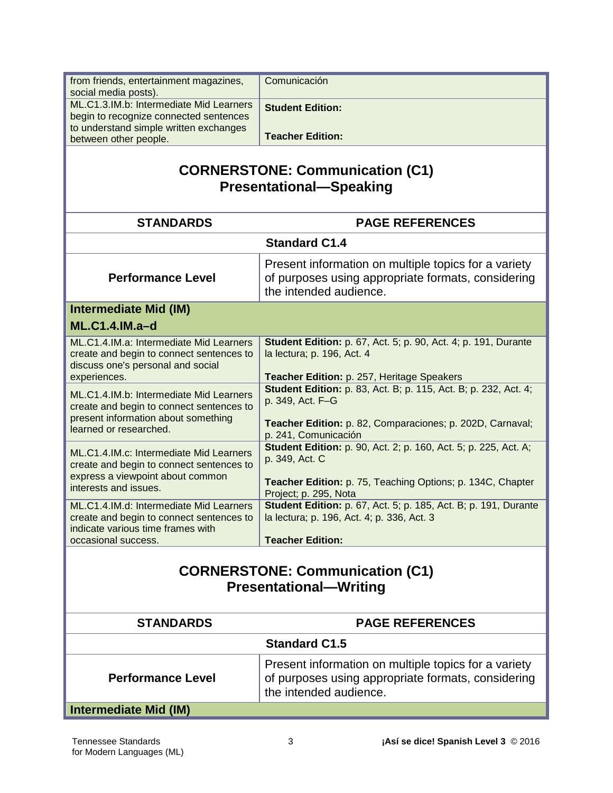| from friends, entertainment magazines,<br>social media posts).                                                                                       | Comunicación                                                                                                                         |
|------------------------------------------------------------------------------------------------------------------------------------------------------|--------------------------------------------------------------------------------------------------------------------------------------|
| ML.C1.3.IM.b: Intermediate Mid Learners                                                                                                              | <b>Student Edition:</b>                                                                                                              |
| begin to recognize connected sentences<br>to understand simple written exchanges                                                                     |                                                                                                                                      |
| between other people.                                                                                                                                | <b>Teacher Edition:</b>                                                                                                              |
| <b>CORNERSTONE: Communication (C1)</b><br><b>Presentational-Speaking</b>                                                                             |                                                                                                                                      |
| <b>STANDARDS</b>                                                                                                                                     | <b>PAGE REFERENCES</b>                                                                                                               |
| <b>Standard C1.4</b>                                                                                                                                 |                                                                                                                                      |
| <b>Performance Level</b>                                                                                                                             | Present information on multiple topics for a variety<br>of purposes using appropriate formats, considering<br>the intended audience. |
| <b>Intermediate Mid (IM)</b>                                                                                                                         |                                                                                                                                      |
| <b>ML.C1.4.IM.a-d</b>                                                                                                                                |                                                                                                                                      |
| ML.C1.4.IM.a: Intermediate Mid Learners<br>create and begin to connect sentences to<br>discuss one's personal and social                             | <b>Student Edition:</b> p. 67, Act. 5; p. 90, Act. 4; p. 191, Durante<br>la lectura; p. 196, Act. 4                                  |
| experiences.                                                                                                                                         | Teacher Edition: p. 257, Heritage Speakers<br><b>Student Edition:</b> p. 83, Act. B; p. 115, Act. B; p. 232, Act. 4;                 |
| ML.C1.4.IM.b: Intermediate Mid Learners<br>create and begin to connect sentences to<br>present information about something<br>learned or researched. | p. 349, Act. F-G<br>Teacher Edition: p. 82, Comparaciones; p. 202D, Carnaval;                                                        |
| ML.C1.4.IM.c: Intermediate Mid Learners<br>create and begin to connect sentences to                                                                  | p. 241, Comunicación<br><b>Student Edition:</b> p. 90, Act. 2; p. 160, Act. 5; p. 225, Act. A;<br>p. 349, Act. C                     |
| express a viewpoint about common<br>interests and issues.                                                                                            | Teacher Edition: p. 75, Teaching Options; p. 134C, Chapter<br>Project; p. 295, Nota                                                  |
| ML.C1.4.IM.d: Intermediate Mid Learners<br>create and begin to connect sentences to<br>indicate various time frames with                             | <b>Student Edition:</b> p. 67, Act. 5; p. 185, Act. B; p. 191, Durante<br>la lectura; p. 196, Act. 4; p. 336, Act. 3                 |
| occasional success.                                                                                                                                  | <b>Teacher Edition:</b>                                                                                                              |
| <b>CORNERSTONE: Communication (C1)</b><br><b>Presentational-Writing</b>                                                                              |                                                                                                                                      |
| <b>STANDARDS</b>                                                                                                                                     | <b>PAGE REFERENCES</b>                                                                                                               |
|                                                                                                                                                      | <b>Standard C1.5</b>                                                                                                                 |
| <b>Performance Level</b>                                                                                                                             | Present information on multiple topics for a variety<br>of purposes using appropriate formats, considering<br>the intended audience. |
| <b>Intermediate Mid (IM)</b>                                                                                                                         |                                                                                                                                      |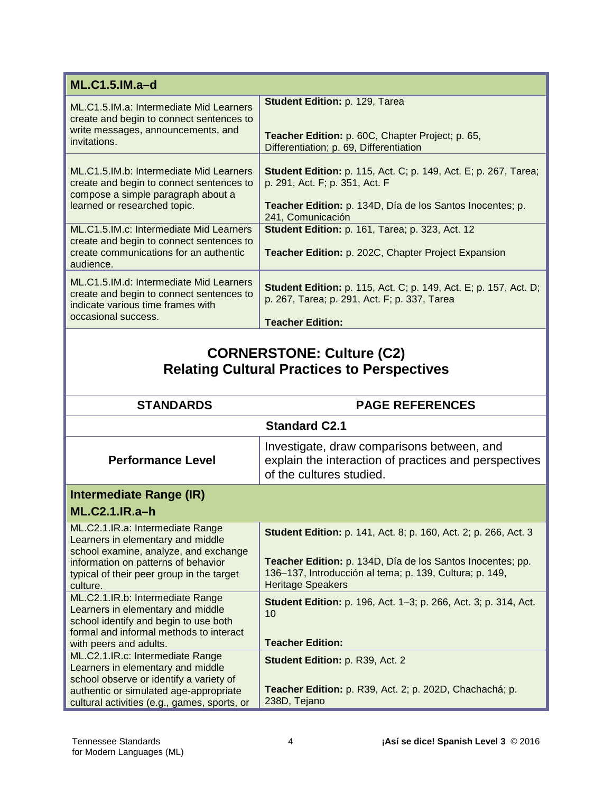| $ML.C1.5.IM.a-d$                                                                                                                                          |                                                                                                                                                                                            |
|-----------------------------------------------------------------------------------------------------------------------------------------------------------|--------------------------------------------------------------------------------------------------------------------------------------------------------------------------------------------|
| ML.C1.5.IM.a: Intermediate Mid Learners<br>create and begin to connect sentences to<br>write messages, announcements, and<br>invitations.                 | Student Edition: p. 129, Tarea<br>Teacher Edition: p. 60C, Chapter Project; p. 65,<br>Differentiation; p. 69, Differentiation                                                              |
| ML.C1.5.IM.b: Intermediate Mid Learners<br>create and begin to connect sentences to<br>compose a simple paragraph about a<br>learned or researched topic. | <b>Student Edition:</b> p. 115, Act. C; p. 149, Act. E; p. 267, Tarea;<br>p. 291, Act. F; p. 351, Act. F<br>Teacher Edition: p. 134D, Día de los Santos Inocentes; p.<br>241, Comunicación |
| ML.C1.5.IM.c: Intermediate Mid Learners<br>create and begin to connect sentences to<br>create communications for an authentic<br>audience.                | <b>Student Edition: p. 161, Tarea; p. 323, Act. 12</b><br>Teacher Edition: p. 202C, Chapter Project Expansion                                                                              |
| ML.C1.5.IM.d: Intermediate Mid Learners<br>create and begin to connect sentences to<br>indicate various time frames with<br>occasional success.           | <b>Student Edition:</b> p. 115, Act. C; p. 149, Act. E; p. 157, Act. D;<br>p. 267, Tarea; p. 291, Act. F; p. 337, Tarea<br><b>Teacher Edition:</b>                                         |
| <b>CORNERSTONE: Culture (C2)</b><br><b>Relating Cultural Practices to Perspectives</b>                                                                    |                                                                                                                                                                                            |

| <b>STANDARDS</b>                                                                                                                                                                                               | <b>PAGE REFERENCES</b>                                                                                                                                                                                                      |
|----------------------------------------------------------------------------------------------------------------------------------------------------------------------------------------------------------------|-----------------------------------------------------------------------------------------------------------------------------------------------------------------------------------------------------------------------------|
|                                                                                                                                                                                                                | <b>Standard C2.1</b>                                                                                                                                                                                                        |
| <b>Performance Level</b>                                                                                                                                                                                       | Investigate, draw comparisons between, and<br>explain the interaction of practices and perspectives<br>of the cultures studied.                                                                                             |
| Intermediate Range (IR)                                                                                                                                                                                        |                                                                                                                                                                                                                             |
| $ML.C2.1.IR.a-h$                                                                                                                                                                                               |                                                                                                                                                                                                                             |
| ML.C2.1.IR.a: Intermediate Range<br>Learners in elementary and middle<br>school examine, analyze, and exchange<br>information on patterns of behavior<br>typical of their peer group in the target<br>culture. | <b>Student Edition:</b> p. 141, Act. 8; p. 160, Act. 2; p. 266, Act. 3<br>Teacher Edition: p. 134D, Día de los Santos Inocentes; pp.<br>136-137, Introducción al tema; p. 139, Cultura; p. 149,<br><b>Heritage Speakers</b> |
| ML.C2.1.IR.b: Intermediate Range<br>Learners in elementary and middle<br>school identify and begin to use both<br>formal and informal methods to interact<br>with peers and adults.                            | <b>Student Edition:</b> p. 196, Act. 1–3; p. 266, Act. 3; p. 314, Act.<br>10 <sup>1</sup><br><b>Teacher Edition:</b>                                                                                                        |
| ML.C2.1.IR.c: Intermediate Range<br>Learners in elementary and middle<br>school observe or identify a variety of                                                                                               | <b>Student Edition: p. R39, Act. 2</b>                                                                                                                                                                                      |
| authentic or simulated age-appropriate<br>cultural activities (e.g., games, sports, or                                                                                                                         | Teacher Edition: p. R39, Act. 2; p. 202D, Chachachá; p.<br>238D, Tejano                                                                                                                                                     |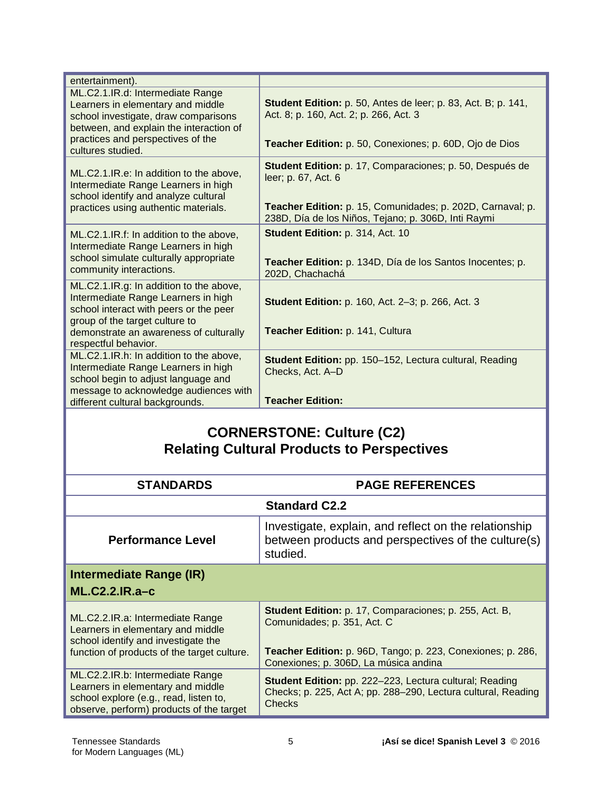| entertainment).                                                                                                                                                                                                              |                                                                                                                                                                                                      |
|------------------------------------------------------------------------------------------------------------------------------------------------------------------------------------------------------------------------------|------------------------------------------------------------------------------------------------------------------------------------------------------------------------------------------------------|
| ML.C2.1.IR.d: Intermediate Range<br>Learners in elementary and middle<br>school investigate, draw comparisons<br>between, and explain the interaction of<br>practices and perspectives of the<br>cultures studied.           | Student Edition: p. 50, Antes de leer; p. 83, Act. B; p. 141,<br>Act. 8; p. 160, Act. 2; p. 266, Act. 3<br>Teacher Edition: p. 50, Conexiones; p. 60D, Ojo de Dios                                   |
| ML.C2.1.IR.e: In addition to the above,<br>Intermediate Range Learners in high<br>school identify and analyze cultural<br>practices using authentic materials.                                                               | Student Edition: p. 17, Comparaciones; p. 50, Después de<br>leer; p. 67, Act. 6<br>Teacher Edition: p. 15, Comunidades; p. 202D, Carnaval; p.<br>238D, Día de los Niños, Tejano; p. 306D, Inti Raymi |
| ML.C2.1.IR.f: In addition to the above,<br>Intermediate Range Learners in high<br>school simulate culturally appropriate<br>community interactions.                                                                          | Student Edition: p. 314, Act. 10<br>Teacher Edition: p. 134D, Día de los Santos Inocentes; p.<br>202D, Chachachá                                                                                     |
| ML.C2.1.IR.g: In addition to the above,<br>Intermediate Range Learners in high<br>school interact with peers or the peer<br>group of the target culture to<br>demonstrate an awareness of culturally<br>respectful behavior. | <b>Student Edition: p. 160, Act. 2-3; p. 266, Act. 3</b><br>Teacher Edition: p. 141, Cultura                                                                                                         |
| ML.C2.1.IR.h: In addition to the above,<br>Intermediate Range Learners in high<br>school begin to adjust language and<br>message to acknowledge audiences with<br>different cultural backgrounds.                            | Student Edition: pp. 150-152, Lectura cultural, Reading<br>Checks, Act. A-D<br><b>Teacher Edition:</b>                                                                                               |

#### **CORNERSTONE: Culture (C2) Relating Cultural Products to Perspectives**

| <b>STANDARDS</b>                                                                                                                                            | <b>PAGE REFERENCES</b>                                                                                                                                                                               |
|-------------------------------------------------------------------------------------------------------------------------------------------------------------|------------------------------------------------------------------------------------------------------------------------------------------------------------------------------------------------------|
|                                                                                                                                                             | <b>Standard C2.2</b>                                                                                                                                                                                 |
| <b>Performance Level</b>                                                                                                                                    | Investigate, explain, and reflect on the relationship<br>between products and perspectives of the culture(s)<br>studied.                                                                             |
| <b>Intermediate Range (IR)</b><br>$ML.C2.2.IR.a-c$                                                                                                          |                                                                                                                                                                                                      |
| ML.C2.2.IR.a: Intermediate Range<br>Learners in elementary and middle<br>school identify and investigate the<br>function of products of the target culture. | <b>Student Edition:</b> p. 17, Comparaciones; p. 255, Act. B,<br>Comunidades; p. 351, Act. C<br>Teacher Edition: p. 96D, Tango; p. 223, Conexiones; p. 286,<br>Conexiones; p. 306D, La música andina |
| ML.C2.2.IR.b: Intermediate Range<br>Learners in elementary and middle<br>school explore (e.g., read, listen to,<br>observe, perform) products of the target | <b>Student Edition:</b> pp. 222-223, Lectura cultural; Reading<br>Checks; p. 225, Act A; pp. 288-290, Lectura cultural, Reading<br>Checks                                                            |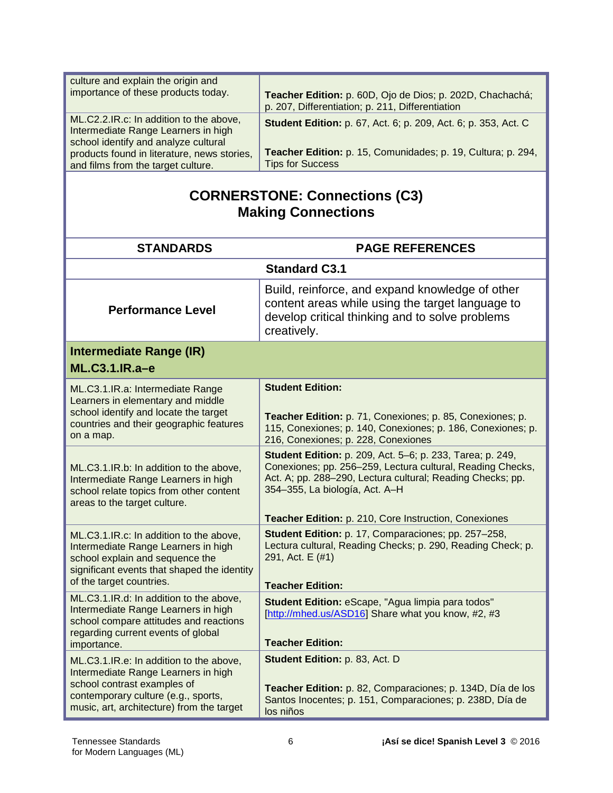| culture and explain the origin and<br>importance of these products today.                                                                                                                         | Teacher Edition: p. 60D, Ojo de Dios; p. 202D, Chachachá;<br>p. 207, Differentiation; p. 211, Differentiation                                                                                                                  |
|---------------------------------------------------------------------------------------------------------------------------------------------------------------------------------------------------|--------------------------------------------------------------------------------------------------------------------------------------------------------------------------------------------------------------------------------|
| ML.C2.2.IR.c: In addition to the above,<br>Intermediate Range Learners in high<br>school identify and analyze cultural<br>products found in literature, news stories,                             | <b>Student Edition:</b> p. 67, Act. 6; p. 209, Act. 6; p. 353, Act. C<br>Teacher Edition: p. 15, Comunidades; p. 19, Cultura; p. 294,                                                                                          |
| and films from the target culture.                                                                                                                                                                | <b>Tips for Success</b>                                                                                                                                                                                                        |
| <b>CORNERSTONE: Connections (C3)</b><br><b>Making Connections</b>                                                                                                                                 |                                                                                                                                                                                                                                |
| <b>STANDARDS</b>                                                                                                                                                                                  | <b>PAGE REFERENCES</b>                                                                                                                                                                                                         |
|                                                                                                                                                                                                   | <b>Standard C3.1</b>                                                                                                                                                                                                           |
| <b>Performance Level</b>                                                                                                                                                                          | Build, reinforce, and expand knowledge of other<br>content areas while using the target language to<br>develop critical thinking and to solve problems<br>creatively.                                                          |
| <b>Intermediate Range (IR)</b><br>ML.C3.1.IR.a-e                                                                                                                                                  |                                                                                                                                                                                                                                |
| ML.C3.1.IR.a: Intermediate Range<br>Learners in elementary and middle                                                                                                                             | <b>Student Edition:</b>                                                                                                                                                                                                        |
| school identify and locate the target<br>countries and their geographic features<br>on a map.                                                                                                     | Teacher Edition: p. 71, Conexiones; p. 85, Conexiones; p.<br>115, Conexiones; p. 140, Conexiones; p. 186, Conexiones; p.<br>216, Conexiones; p. 228, Conexiones                                                                |
| ML.C3.1.IR.b: In addition to the above,<br>Intermediate Range Learners in high<br>school relate topics from other content<br>areas to the target culture.                                         | <b>Student Edition:</b> p. 209, Act. 5-6; p. 233, Tarea; p. 249,<br>Conexiones; pp. 256-259, Lectura cultural, Reading Checks,<br>Act. A; pp. 288-290, Lectura cultural; Reading Checks; pp.<br>354-355, La biología, Act. A-H |
|                                                                                                                                                                                                   | Teacher Edition: p. 210, Core Instruction, Conexiones                                                                                                                                                                          |
| ML.C3.1.IR.c: In addition to the above,<br>Intermediate Range Learners in high<br>school explain and sequence the<br>significant events that shaped the identity                                  | Student Edition: p. 17, Comparaciones; pp. 257-258,<br>Lectura cultural, Reading Checks; p. 290, Reading Check; p.<br>291, Act. E (#1)                                                                                         |
| of the target countries.                                                                                                                                                                          | <b>Teacher Edition:</b>                                                                                                                                                                                                        |
| ML.C3.1.IR.d: In addition to the above,<br>Intermediate Range Learners in high<br>school compare attitudes and reactions<br>regarding current events of global                                    | Student Edition: eScape, "Agua limpia para todos"<br>[http://mhed.us/ASD16] Share what you know, #2, #3<br><b>Teacher Edition:</b>                                                                                             |
| importance.                                                                                                                                                                                       |                                                                                                                                                                                                                                |
| ML.C3.1.IR.e: In addition to the above,<br>Intermediate Range Learners in high<br>school contrast examples of<br>contemporary culture (e.g., sports,<br>music, art, architecture) from the target | Student Edition: p. 83, Act. D<br>Teacher Edition: p. 82, Comparaciones; p. 134D, Día de los<br>Santos Inocentes; p. 151, Comparaciones; p. 238D, Día de<br>los niños                                                          |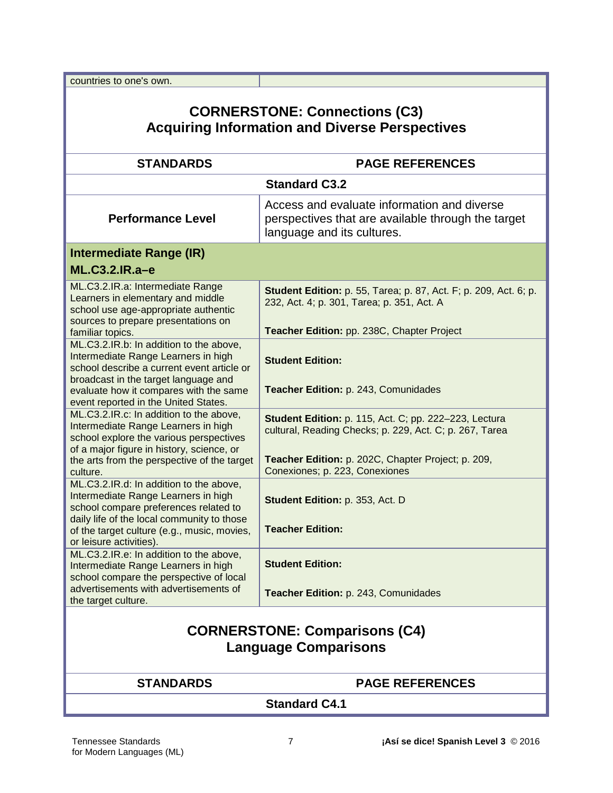countries to one's own.

# **CORNERSTONE: Connections (C3) Acquiring Information and Diverse Perspectives**

| <b>STANDARDS</b>                                                                                                                                                       | <b>PAGE REFERENCES</b>                                                                                                          |
|------------------------------------------------------------------------------------------------------------------------------------------------------------------------|---------------------------------------------------------------------------------------------------------------------------------|
|                                                                                                                                                                        | <b>Standard C3.2</b>                                                                                                            |
| <b>Performance Level</b>                                                                                                                                               | Access and evaluate information and diverse<br>perspectives that are available through the target<br>language and its cultures. |
| Intermediate Range (IR)                                                                                                                                                |                                                                                                                                 |
| ML.C3.2.IR.a-e                                                                                                                                                         |                                                                                                                                 |
| ML.C3.2.IR.a: Intermediate Range<br>Learners in elementary and middle<br>school use age-appropriate authentic<br>sources to prepare presentations on                   | <b>Student Edition:</b> p. 55, Tarea; p. 87, Act. F; p. 209, Act. 6; p.<br>232, Act. 4; p. 301, Tarea; p. 351, Act. A           |
| familiar topics.                                                                                                                                                       | Teacher Edition: pp. 238C, Chapter Project                                                                                      |
| ML.C3.2.IR.b: In addition to the above,<br>Intermediate Range Learners in high<br>school describe a current event article or<br>broadcast in the target language and   | <b>Student Edition:</b>                                                                                                         |
| evaluate how it compares with the same<br>event reported in the United States.                                                                                         | Teacher Edition: p. 243, Comunidades                                                                                            |
| ML.C3.2.IR.c: In addition to the above,<br>Intermediate Range Learners in high<br>school explore the various perspectives<br>of a major figure in history, science, or | <b>Student Edition: p. 115, Act. C; pp. 222-223, Lectura</b><br>cultural, Reading Checks; p. 229, Act. C; p. 267, Tarea         |
| the arts from the perspective of the target<br>culture.                                                                                                                | Teacher Edition: p. 202C, Chapter Project; p. 209,<br>Conexiones; p. 223, Conexiones                                            |
| ML.C3.2.IR.d: In addition to the above,<br>Intermediate Range Learners in high<br>school compare preferences related to                                                | Student Edition: p. 353, Act. D                                                                                                 |
| daily life of the local community to those<br>of the target culture (e.g., music, movies,<br>or leisure activities).                                                   | <b>Teacher Edition:</b>                                                                                                         |
| ML.C3.2.IR.e: In addition to the above,<br>Intermediate Range Learners in high<br>school compare the perspective of local                                              | <b>Student Edition:</b>                                                                                                         |
| advertisements with advertisements of<br>the target culture.                                                                                                           | Teacher Edition: p. 243, Comunidades                                                                                            |
| <b>CORNERSTONE: Comparisons (C4)</b><br><b>Language Comparisons</b>                                                                                                    |                                                                                                                                 |
| <b>STANDARDS</b>                                                                                                                                                       | <b>PAGE REFERENCES</b>                                                                                                          |

**Standard C4.1**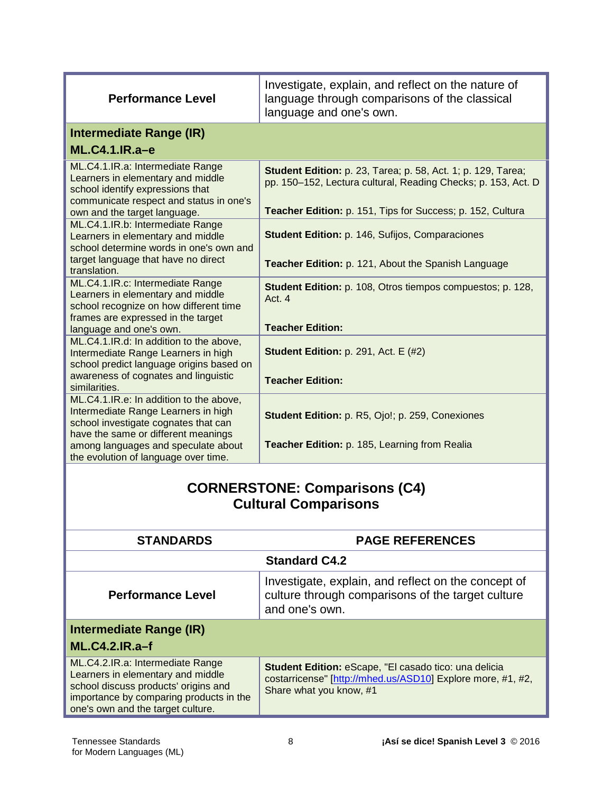| <b>Performance Level</b>                                                                                                                                                                                       | Investigate, explain, and reflect on the nature of<br>language through comparisons of the classical<br>language and one's own.       |
|----------------------------------------------------------------------------------------------------------------------------------------------------------------------------------------------------------------|--------------------------------------------------------------------------------------------------------------------------------------|
| Intermediate Range (IR)                                                                                                                                                                                        |                                                                                                                                      |
| ML.C4.1.IR.a-e                                                                                                                                                                                                 |                                                                                                                                      |
| ML.C4.1.IR.a: Intermediate Range<br>Learners in elementary and middle<br>school identify expressions that<br>communicate respect and status in one's                                                           | <b>Student Edition:</b> p. 23, Tarea; p. 58, Act. 1; p. 129, Tarea;<br>pp. 150-152, Lectura cultural, Reading Checks; p. 153, Act. D |
| own and the target language.                                                                                                                                                                                   | Teacher Edition: p. 151, Tips for Success; p. 152, Cultura                                                                           |
| ML.C4.1.IR.b: Intermediate Range<br>Learners in elementary and middle<br>school determine words in one's own and                                                                                               | Student Edition: p. 146, Sufijos, Comparaciones                                                                                      |
| target language that have no direct<br>translation.                                                                                                                                                            | Teacher Edition: p. 121, About the Spanish Language                                                                                  |
| ML.C4.1.IR.c: Intermediate Range<br>Learners in elementary and middle<br>school recognize on how different time<br>frames are expressed in the target                                                          | <b>Student Edition:</b> p. 108, Otros tiempos compuestos; p. 128,<br>Act. 4<br><b>Teacher Edition:</b>                               |
| language and one's own.<br>ML.C4.1.IR.d: In addition to the above,<br>Intermediate Range Learners in high<br>school predict language origins based on<br>awareness of cognates and linguistic<br>similarities. | Student Edition: p. 291, Act. E (#2)<br><b>Teacher Edition:</b>                                                                      |
| ML.C4.1.IR.e: In addition to the above,<br>Intermediate Range Learners in high<br>school investigate cognates that can                                                                                         | Student Edition: p. R5, Ojo!; p. 259, Conexiones                                                                                     |
| have the same or different meanings<br>among languages and speculate about<br>the evolution of language over time.                                                                                             | Teacher Edition: p. 185, Learning from Realia                                                                                        |

# **CORNERSTONE: Comparisons (C4) Cultural Comparisons**

| <b>STANDARDS</b>                                                                                                                                                                              | <b>PAGE REFERENCES</b>                                                                                                                                 |
|-----------------------------------------------------------------------------------------------------------------------------------------------------------------------------------------------|--------------------------------------------------------------------------------------------------------------------------------------------------------|
| <b>Standard C4.2</b>                                                                                                                                                                          |                                                                                                                                                        |
| <b>Performance Level</b>                                                                                                                                                                      | Investigate, explain, and reflect on the concept of<br>culture through comparisons of the target culture<br>and one's own.                             |
| Intermediate Range (IR)<br>$ML.C4.2.IR.a-f$                                                                                                                                                   |                                                                                                                                                        |
| ML.C4.2.IR.a: Intermediate Range<br>Learners in elementary and middle<br>school discuss products' origins and<br>importance by comparing products in the<br>one's own and the target culture. | <b>Student Edition: eScape, "El casado tico: una delicia</b><br>costarricense" [http://mhed.us/ASD10] Explore more, #1, #2,<br>Share what you know, #1 |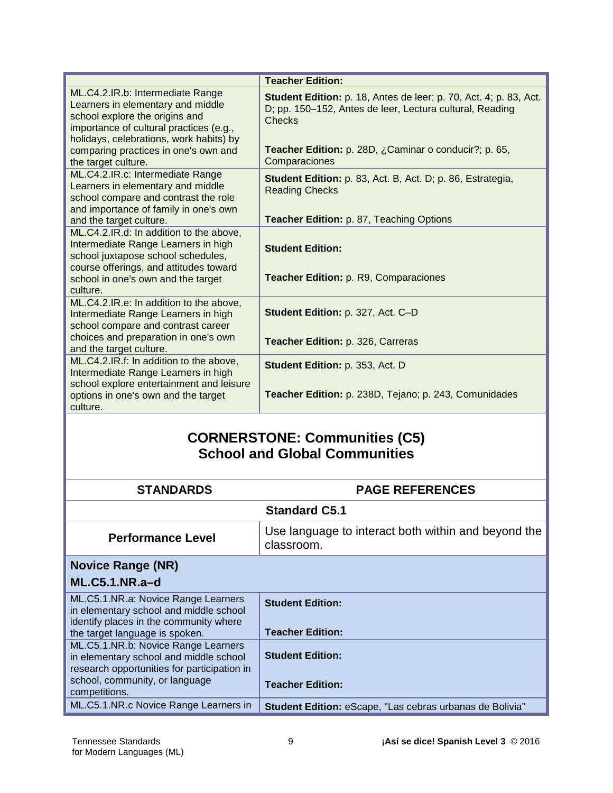|                                                                                                                                                                                               | <b>Teacher Edition:</b>                                                                                                                 |
|-----------------------------------------------------------------------------------------------------------------------------------------------------------------------------------------------|-----------------------------------------------------------------------------------------------------------------------------------------|
| ML.C4.2.IR.b: Intermediate Range<br>Learners in elementary and middle<br>school explore the origins and<br>importance of cultural practices (e.g.,<br>holidays, celebrations, work habits) by | Student Edition: p. 18, Antes de leer; p. 70, Act. 4; p. 83, Act.<br>D; pp. 150-152, Antes de leer, Lectura cultural, Reading<br>Checks |
| comparing practices in one's own and<br>the target culture.                                                                                                                                   | Teacher Edition: p. 28D, ¿Caminar o conducir?; p. 65,<br>Comparaciones                                                                  |
| ML.C4.2.IR.c: Intermediate Range<br>Learners in elementary and middle<br>school compare and contrast the role<br>and importance of family in one's own                                        | <b>Student Edition:</b> p. 83, Act. B, Act. D; p. 86, Estrategia,<br><b>Reading Checks</b>                                              |
| and the target culture.                                                                                                                                                                       | <b>Teacher Edition: p. 87, Teaching Options</b>                                                                                         |
| ML.C4.2.IR.d: In addition to the above,<br>Intermediate Range Learners in high<br>school juxtapose school schedules,<br>course offerings, and attitudes toward                                | <b>Student Edition:</b>                                                                                                                 |
| school in one's own and the target<br>culture.                                                                                                                                                | <b>Teacher Edition: p. R9, Comparaciones</b>                                                                                            |
| ML.C4.2.IR.e: In addition to the above,<br>Intermediate Range Learners in high<br>school compare and contrast career                                                                          | Student Edition: p. 327, Act. C-D                                                                                                       |
| choices and preparation in one's own<br>and the target culture.                                                                                                                               | Teacher Edition: p. 326, Carreras                                                                                                       |
| ML.C4.2.IR.f: In addition to the above,<br>Intermediate Range Learners in high<br>school explore entertainment and leisure                                                                    | Student Edition: p. 353, Act. D                                                                                                         |
| options in one's own and the target<br>culture.                                                                                                                                               | Teacher Edition: p. 238D, Tejano; p. 243, Comunidades                                                                                   |

## **CORNERSTONE: Communities (C5) School and Global Communities**

| <b>STANDARDS</b>                                                                                                                                          | <b>PAGE REFERENCES</b>                                            |
|-----------------------------------------------------------------------------------------------------------------------------------------------------------|-------------------------------------------------------------------|
| <b>Standard C5.1</b>                                                                                                                                      |                                                                   |
| <b>Performance Level</b>                                                                                                                                  | Use language to interact both within and beyond the<br>classroom. |
| <b>Novice Range (NR)</b>                                                                                                                                  |                                                                   |
| $ML.C5.1.NR.a-d$                                                                                                                                          |                                                                   |
| ML.C5.1.NR.a: Novice Range Learners<br>in elementary school and middle school<br>identify places in the community where<br>the target language is spoken. | <b>Student Edition:</b><br><b>Teacher Edition:</b>                |
| ML.C5.1.NR.b: Novice Range Learners<br>in elementary school and middle school<br>research opportunities for participation in                              | <b>Student Edition:</b>                                           |
| school, community, or language<br>competitions.                                                                                                           | <b>Teacher Edition:</b>                                           |
| ML.C5.1.NR.c Novice Range Learners in                                                                                                                     | Student Edition: eScape, "Las cebras urbanas de Bolivia"          |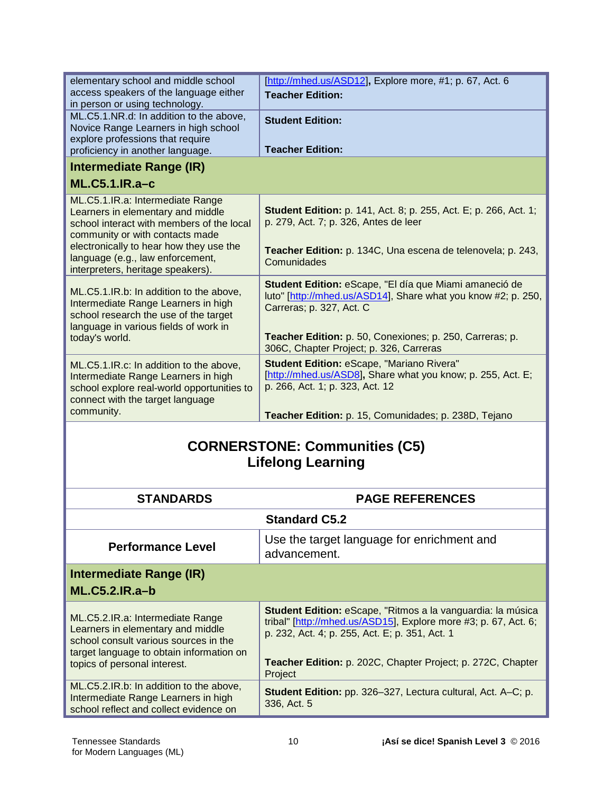| elementary school and middle school<br>access speakers of the language either<br>in person or using technology.                                                                    | [http://mhed.us/ASD12], Explore more, #1; p. 67, Act. 6<br><b>Teacher Edition:</b>                                                                                                                              |
|------------------------------------------------------------------------------------------------------------------------------------------------------------------------------------|-----------------------------------------------------------------------------------------------------------------------------------------------------------------------------------------------------------------|
| ML.C5.1.NR.d: In addition to the above,<br>Novice Range Learners in high school<br>explore professions that require                                                                | <b>Student Edition:</b>                                                                                                                                                                                         |
| proficiency in another language.                                                                                                                                                   | <b>Teacher Edition:</b>                                                                                                                                                                                         |
| Intermediate Range (IR)                                                                                                                                                            |                                                                                                                                                                                                                 |
| $ML.C5.1.IR.a-c$                                                                                                                                                                   |                                                                                                                                                                                                                 |
| ML.C5.1.IR.a: Intermediate Range<br>Learners in elementary and middle<br>school interact with members of the local<br>community or with contacts made                              | <b>Student Edition:</b> p. 141, Act. 8; p. 255, Act. E; p. 266, Act. 1;<br>p. 279, Act. 7; p. 326, Antes de leer                                                                                                |
| electronically to hear how they use the<br>language (e.g., law enforcement,<br>interpreters, heritage speakers).                                                                   | Teacher Edition: p. 134C, Una escena de telenovela; p. 243,<br>Comunidades                                                                                                                                      |
| ML.C5.1.IR.b: In addition to the above,<br>Intermediate Range Learners in high<br>school research the use of the target<br>language in various fields of work in<br>today's world. | Student Edition: eScape, "El día que Miami amaneció de<br>luto" [http://mhed.us/ASD14], Share what you know #2; p. 250,<br>Carreras; p. 327, Act. C<br>Teacher Edition: p. 50, Conexiones; p. 250, Carreras; p. |
|                                                                                                                                                                                    | 306C, Chapter Project; p. 326, Carreras                                                                                                                                                                         |
| ML.C5.1.IR.c: In addition to the above,<br>Intermediate Range Learners in high<br>school explore real-world opportunities to<br>connect with the target language                   | <b>Student Edition: eScape, "Mariano Rivera"</b><br>[http://mhed.us/ASD8], Share what you know; p. 255, Act. E;<br>p. 266, Act. 1; p. 323, Act. 12                                                              |
| community.                                                                                                                                                                         | Teacher Edition: p. 15, Comunidades; p. 238D, Tejano                                                                                                                                                            |
|                                                                                                                                                                                    |                                                                                                                                                                                                                 |

## **CORNERSTONE: Communities (C5) Lifelong Learning**

| <b>STANDARDS</b>                                                                                                                                                                           | <b>PAGE REFERENCES</b>                                                                                                                                                                                                                                     |
|--------------------------------------------------------------------------------------------------------------------------------------------------------------------------------------------|------------------------------------------------------------------------------------------------------------------------------------------------------------------------------------------------------------------------------------------------------------|
| <b>Standard C5.2</b>                                                                                                                                                                       |                                                                                                                                                                                                                                                            |
| <b>Performance Level</b>                                                                                                                                                                   | Use the target language for enrichment and<br>advancement.                                                                                                                                                                                                 |
| Intermediate Range (IR)<br>$ML.C5.2.IR.a-b$                                                                                                                                                |                                                                                                                                                                                                                                                            |
| ML.C5.2.IR.a: Intermediate Range<br>Learners in elementary and middle<br>school consult various sources in the<br>target language to obtain information on<br>topics of personal interest. | Student Edition: eScape, "Ritmos a la vanguardia: la música<br>tribal" [http://mhed.us/ASD15], Explore more #3; p. 67, Act. 6;<br>p. 232, Act. 4; p. 255, Act. E; p. 351, Act. 1<br>Teacher Edition: p. 202C, Chapter Project; p. 272C, Chapter<br>Project |
| ML.C5.2.IR.b: In addition to the above,<br>Intermediate Range Learners in high<br>school reflect and collect evidence on                                                                   | <b>Student Edition:</b> pp. 326–327, Lectura cultural, Act. A–C; p.<br>336, Act. 5                                                                                                                                                                         |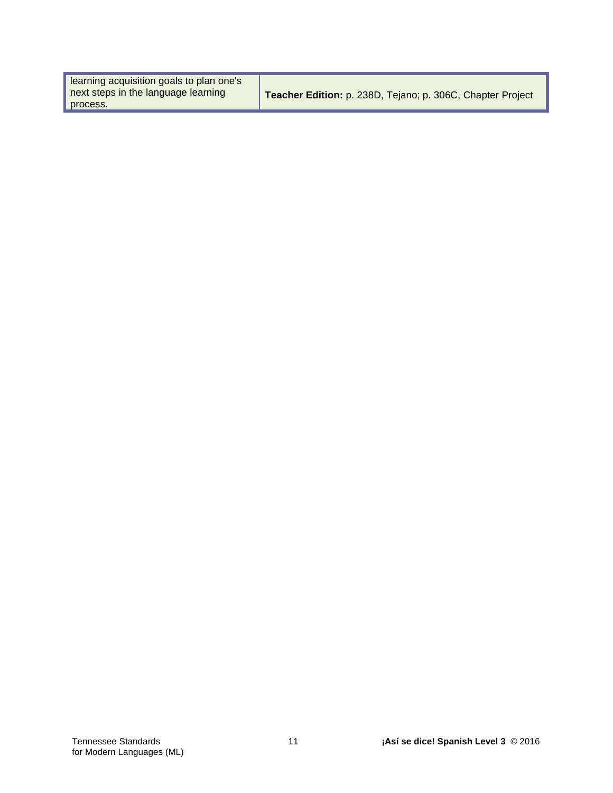| learning acquisition goals to plan one's |                                                            |
|------------------------------------------|------------------------------------------------------------|
| next steps in the language learning      | Teacher Edition: p. 238D, Tejano; p. 306C, Chapter Project |
| process.                                 |                                                            |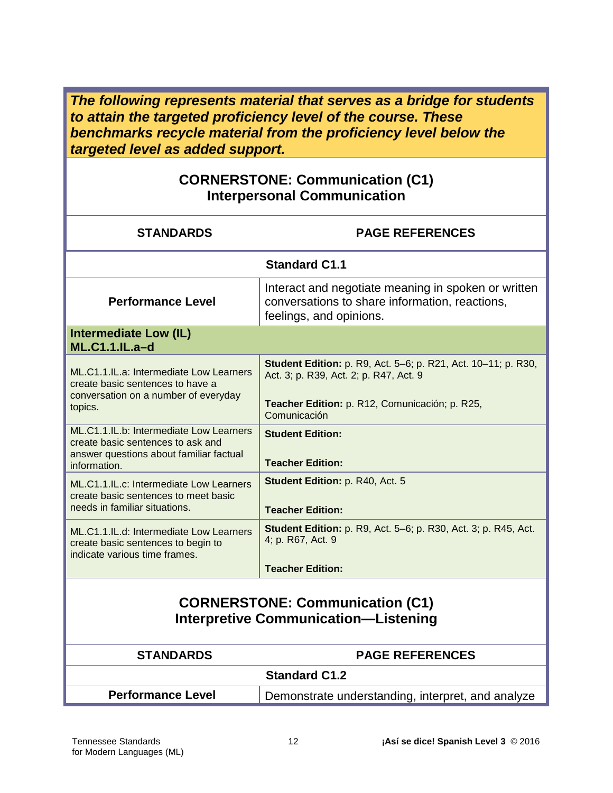*The following represents material that serves as a bridge for students to attain the targeted proficiency level of the course. These benchmarks recycle material from the proficiency level below the targeted level as added support.*

#### **CORNERSTONE: Communication (C1) Interpersonal Communication**

| <b>STANDARDS</b>                                                                                                                        | <b>PAGE REFERENCES</b>                                                                                                                                                           |
|-----------------------------------------------------------------------------------------------------------------------------------------|----------------------------------------------------------------------------------------------------------------------------------------------------------------------------------|
| <b>Standard C1.1</b>                                                                                                                    |                                                                                                                                                                                  |
| <b>Performance Level</b>                                                                                                                | Interact and negotiate meaning in spoken or written<br>conversations to share information, reactions,<br>feelings, and opinions.                                                 |
| <b>Intermediate Low (IL)</b><br><b>ML.C1.1.IL.a-d</b>                                                                                   |                                                                                                                                                                                  |
| ML.C1.1.IL.a: Intermediate Low Learners<br>create basic sentences to have a<br>conversation on a number of everyday<br>topics.          | <b>Student Edition:</b> p. R9, Act. 5–6; p. R21, Act. 10–11; p. R30,<br>Act. 3; p. R39, Act. 2; p. R47, Act. 9<br>Teacher Edition: p. R12, Comunicación; p. R25,<br>Comunicación |
| ML.C1.1.IL.b: Intermediate Low Learners<br>create basic sentences to ask and<br>answer questions about familiar factual<br>information. | <b>Student Edition:</b><br><b>Teacher Edition:</b>                                                                                                                               |
| ML.C1.1.IL.c: Intermediate Low Learners<br>create basic sentences to meet basic<br>needs in familiar situations.                        | Student Edition: p. R40, Act. 5<br><b>Teacher Edition:</b>                                                                                                                       |
| ML.C1.1.IL.d: Intermediate Low Learners<br>create basic sentences to begin to<br>indicate various time frames.                          | <b>Student Edition:</b> p. R9, Act. 5–6; p. R30, Act. 3; p. R45, Act.<br>4; p. R67, Act. 9<br><b>Teacher Edition:</b>                                                            |
| <b>CORNERSTONE: Communication (C1)</b><br><b>Interpretive Communication-Listening</b>                                                   |                                                                                                                                                                                  |
| <b>STANDARDS</b>                                                                                                                        | <b>PAGE REFERENCES</b>                                                                                                                                                           |
| <b>Standard C1.2</b>                                                                                                                    |                                                                                                                                                                                  |
| <b>Performance Level</b>                                                                                                                | Demonstrate understanding, interpret, and analyze                                                                                                                                |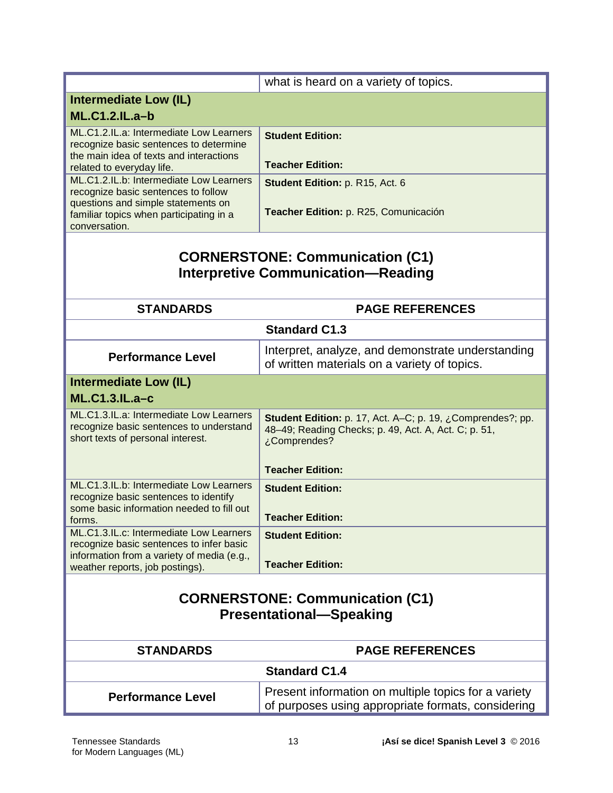| what is heard on a variety of topics.<br><b>Intermediate Low (IL)</b><br><b>ML.C1.2.IL.a-b</b><br>ML.C1.2.IL.a: Intermediate Low Learners<br><b>Student Edition:</b><br>recognize basic sentences to determine<br>the main idea of texts and interactions<br><b>Teacher Edition:</b><br>related to everyday life.<br>ML.C1.2.IL.b: Intermediate Low Learners<br>Student Edition: p. R15, Act. 6<br>recognize basic sentences to follow<br>questions and simple statements on<br>Teacher Edition: p. R25, Comunicación<br>familiar topics when participating in a<br>conversation.<br><b>CORNERSTONE: Communication (C1)</b><br><b>Interpretive Communication-Reading</b><br><b>STANDARDS</b><br><b>PAGE REFERENCES</b><br><b>Standard C1.3</b><br>Interpret, analyze, and demonstrate understanding<br><b>Performance Level</b><br>of written materials on a variety of topics.<br><b>Intermediate Low (IL)</b><br><b>ML.C1.3.IL.a-c</b><br>ML.C1.3.IL.a: Intermediate Low Learners<br>Student Edition: p. 17, Act. A-C; p. 19, ¿Comprendes?; pp.<br>recognize basic sentences to understand<br>48-49; Reading Checks; p. 49, Act. A, Act. C; p. 51,<br>short texts of personal interest.<br>¿Comprendes?<br><b>Teacher Edition:</b><br>ML.C1.3.IL.b: Intermediate Low Learners<br><b>Student Edition:</b><br>recognize basic sentences to identify<br>some basic information needed to fill out<br><b>Teacher Edition:</b><br>forms.<br>ML.C1.3.IL.c: Intermediate Low Learners<br><b>Student Edition:</b><br>recognize basic sentences to infer basic<br>information from a variety of media (e.g.,<br><b>Teacher Edition:</b><br>weather reports, job postings).<br><b>CORNERSTONE: Communication (C1)</b><br><b>Presentational-Speaking</b><br><b>STANDARDS</b><br><b>PAGE REFERENCES</b><br><b>Standard C1.4</b><br>Present information on multiple topics for a variety<br><b>Performance Level</b> |  |                                                    |
|-----------------------------------------------------------------------------------------------------------------------------------------------------------------------------------------------------------------------------------------------------------------------------------------------------------------------------------------------------------------------------------------------------------------------------------------------------------------------------------------------------------------------------------------------------------------------------------------------------------------------------------------------------------------------------------------------------------------------------------------------------------------------------------------------------------------------------------------------------------------------------------------------------------------------------------------------------------------------------------------------------------------------------------------------------------------------------------------------------------------------------------------------------------------------------------------------------------------------------------------------------------------------------------------------------------------------------------------------------------------------------------------------------------------------------------------------------------------------------------------------------------------------------------------------------------------------------------------------------------------------------------------------------------------------------------------------------------------------------------------------------------------------------------------------------------------------------------------------------------------------------------------------------------|--|----------------------------------------------------|
|                                                                                                                                                                                                                                                                                                                                                                                                                                                                                                                                                                                                                                                                                                                                                                                                                                                                                                                                                                                                                                                                                                                                                                                                                                                                                                                                                                                                                                                                                                                                                                                                                                                                                                                                                                                                                                                                                                           |  |                                                    |
|                                                                                                                                                                                                                                                                                                                                                                                                                                                                                                                                                                                                                                                                                                                                                                                                                                                                                                                                                                                                                                                                                                                                                                                                                                                                                                                                                                                                                                                                                                                                                                                                                                                                                                                                                                                                                                                                                                           |  |                                                    |
|                                                                                                                                                                                                                                                                                                                                                                                                                                                                                                                                                                                                                                                                                                                                                                                                                                                                                                                                                                                                                                                                                                                                                                                                                                                                                                                                                                                                                                                                                                                                                                                                                                                                                                                                                                                                                                                                                                           |  |                                                    |
|                                                                                                                                                                                                                                                                                                                                                                                                                                                                                                                                                                                                                                                                                                                                                                                                                                                                                                                                                                                                                                                                                                                                                                                                                                                                                                                                                                                                                                                                                                                                                                                                                                                                                                                                                                                                                                                                                                           |  |                                                    |
|                                                                                                                                                                                                                                                                                                                                                                                                                                                                                                                                                                                                                                                                                                                                                                                                                                                                                                                                                                                                                                                                                                                                                                                                                                                                                                                                                                                                                                                                                                                                                                                                                                                                                                                                                                                                                                                                                                           |  |                                                    |
|                                                                                                                                                                                                                                                                                                                                                                                                                                                                                                                                                                                                                                                                                                                                                                                                                                                                                                                                                                                                                                                                                                                                                                                                                                                                                                                                                                                                                                                                                                                                                                                                                                                                                                                                                                                                                                                                                                           |  |                                                    |
|                                                                                                                                                                                                                                                                                                                                                                                                                                                                                                                                                                                                                                                                                                                                                                                                                                                                                                                                                                                                                                                                                                                                                                                                                                                                                                                                                                                                                                                                                                                                                                                                                                                                                                                                                                                                                                                                                                           |  |                                                    |
|                                                                                                                                                                                                                                                                                                                                                                                                                                                                                                                                                                                                                                                                                                                                                                                                                                                                                                                                                                                                                                                                                                                                                                                                                                                                                                                                                                                                                                                                                                                                                                                                                                                                                                                                                                                                                                                                                                           |  |                                                    |
|                                                                                                                                                                                                                                                                                                                                                                                                                                                                                                                                                                                                                                                                                                                                                                                                                                                                                                                                                                                                                                                                                                                                                                                                                                                                                                                                                                                                                                                                                                                                                                                                                                                                                                                                                                                                                                                                                                           |  |                                                    |
|                                                                                                                                                                                                                                                                                                                                                                                                                                                                                                                                                                                                                                                                                                                                                                                                                                                                                                                                                                                                                                                                                                                                                                                                                                                                                                                                                                                                                                                                                                                                                                                                                                                                                                                                                                                                                                                                                                           |  |                                                    |
|                                                                                                                                                                                                                                                                                                                                                                                                                                                                                                                                                                                                                                                                                                                                                                                                                                                                                                                                                                                                                                                                                                                                                                                                                                                                                                                                                                                                                                                                                                                                                                                                                                                                                                                                                                                                                                                                                                           |  |                                                    |
|                                                                                                                                                                                                                                                                                                                                                                                                                                                                                                                                                                                                                                                                                                                                                                                                                                                                                                                                                                                                                                                                                                                                                                                                                                                                                                                                                                                                                                                                                                                                                                                                                                                                                                                                                                                                                                                                                                           |  |                                                    |
|                                                                                                                                                                                                                                                                                                                                                                                                                                                                                                                                                                                                                                                                                                                                                                                                                                                                                                                                                                                                                                                                                                                                                                                                                                                                                                                                                                                                                                                                                                                                                                                                                                                                                                                                                                                                                                                                                                           |  |                                                    |
|                                                                                                                                                                                                                                                                                                                                                                                                                                                                                                                                                                                                                                                                                                                                                                                                                                                                                                                                                                                                                                                                                                                                                                                                                                                                                                                                                                                                                                                                                                                                                                                                                                                                                                                                                                                                                                                                                                           |  |                                                    |
|                                                                                                                                                                                                                                                                                                                                                                                                                                                                                                                                                                                                                                                                                                                                                                                                                                                                                                                                                                                                                                                                                                                                                                                                                                                                                                                                                                                                                                                                                                                                                                                                                                                                                                                                                                                                                                                                                                           |  |                                                    |
|                                                                                                                                                                                                                                                                                                                                                                                                                                                                                                                                                                                                                                                                                                                                                                                                                                                                                                                                                                                                                                                                                                                                                                                                                                                                                                                                                                                                                                                                                                                                                                                                                                                                                                                                                                                                                                                                                                           |  |                                                    |
|                                                                                                                                                                                                                                                                                                                                                                                                                                                                                                                                                                                                                                                                                                                                                                                                                                                                                                                                                                                                                                                                                                                                                                                                                                                                                                                                                                                                                                                                                                                                                                                                                                                                                                                                                                                                                                                                                                           |  |                                                    |
|                                                                                                                                                                                                                                                                                                                                                                                                                                                                                                                                                                                                                                                                                                                                                                                                                                                                                                                                                                                                                                                                                                                                                                                                                                                                                                                                                                                                                                                                                                                                                                                                                                                                                                                                                                                                                                                                                                           |  |                                                    |
|                                                                                                                                                                                                                                                                                                                                                                                                                                                                                                                                                                                                                                                                                                                                                                                                                                                                                                                                                                                                                                                                                                                                                                                                                                                                                                                                                                                                                                                                                                                                                                                                                                                                                                                                                                                                                                                                                                           |  |                                                    |
|                                                                                                                                                                                                                                                                                                                                                                                                                                                                                                                                                                                                                                                                                                                                                                                                                                                                                                                                                                                                                                                                                                                                                                                                                                                                                                                                                                                                                                                                                                                                                                                                                                                                                                                                                                                                                                                                                                           |  |                                                    |
|                                                                                                                                                                                                                                                                                                                                                                                                                                                                                                                                                                                                                                                                                                                                                                                                                                                                                                                                                                                                                                                                                                                                                                                                                                                                                                                                                                                                                                                                                                                                                                                                                                                                                                                                                                                                                                                                                                           |  |                                                    |
|                                                                                                                                                                                                                                                                                                                                                                                                                                                                                                                                                                                                                                                                                                                                                                                                                                                                                                                                                                                                                                                                                                                                                                                                                                                                                                                                                                                                                                                                                                                                                                                                                                                                                                                                                                                                                                                                                                           |  |                                                    |
|                                                                                                                                                                                                                                                                                                                                                                                                                                                                                                                                                                                                                                                                                                                                                                                                                                                                                                                                                                                                                                                                                                                                                                                                                                                                                                                                                                                                                                                                                                                                                                                                                                                                                                                                                                                                                                                                                                           |  |                                                    |
|                                                                                                                                                                                                                                                                                                                                                                                                                                                                                                                                                                                                                                                                                                                                                                                                                                                                                                                                                                                                                                                                                                                                                                                                                                                                                                                                                                                                                                                                                                                                                                                                                                                                                                                                                                                                                                                                                                           |  |                                                    |
|                                                                                                                                                                                                                                                                                                                                                                                                                                                                                                                                                                                                                                                                                                                                                                                                                                                                                                                                                                                                                                                                                                                                                                                                                                                                                                                                                                                                                                                                                                                                                                                                                                                                                                                                                                                                                                                                                                           |  |                                                    |
|                                                                                                                                                                                                                                                                                                                                                                                                                                                                                                                                                                                                                                                                                                                                                                                                                                                                                                                                                                                                                                                                                                                                                                                                                                                                                                                                                                                                                                                                                                                                                                                                                                                                                                                                                                                                                                                                                                           |  |                                                    |
|                                                                                                                                                                                                                                                                                                                                                                                                                                                                                                                                                                                                                                                                                                                                                                                                                                                                                                                                                                                                                                                                                                                                                                                                                                                                                                                                                                                                                                                                                                                                                                                                                                                                                                                                                                                                                                                                                                           |  |                                                    |
|                                                                                                                                                                                                                                                                                                                                                                                                                                                                                                                                                                                                                                                                                                                                                                                                                                                                                                                                                                                                                                                                                                                                                                                                                                                                                                                                                                                                                                                                                                                                                                                                                                                                                                                                                                                                                                                                                                           |  |                                                    |
|                                                                                                                                                                                                                                                                                                                                                                                                                                                                                                                                                                                                                                                                                                                                                                                                                                                                                                                                                                                                                                                                                                                                                                                                                                                                                                                                                                                                                                                                                                                                                                                                                                                                                                                                                                                                                                                                                                           |  |                                                    |
|                                                                                                                                                                                                                                                                                                                                                                                                                                                                                                                                                                                                                                                                                                                                                                                                                                                                                                                                                                                                                                                                                                                                                                                                                                                                                                                                                                                                                                                                                                                                                                                                                                                                                                                                                                                                                                                                                                           |  |                                                    |
|                                                                                                                                                                                                                                                                                                                                                                                                                                                                                                                                                                                                                                                                                                                                                                                                                                                                                                                                                                                                                                                                                                                                                                                                                                                                                                                                                                                                                                                                                                                                                                                                                                                                                                                                                                                                                                                                                                           |  |                                                    |
|                                                                                                                                                                                                                                                                                                                                                                                                                                                                                                                                                                                                                                                                                                                                                                                                                                                                                                                                                                                                                                                                                                                                                                                                                                                                                                                                                                                                                                                                                                                                                                                                                                                                                                                                                                                                                                                                                                           |  |                                                    |
|                                                                                                                                                                                                                                                                                                                                                                                                                                                                                                                                                                                                                                                                                                                                                                                                                                                                                                                                                                                                                                                                                                                                                                                                                                                                                                                                                                                                                                                                                                                                                                                                                                                                                                                                                                                                                                                                                                           |  |                                                    |
|                                                                                                                                                                                                                                                                                                                                                                                                                                                                                                                                                                                                                                                                                                                                                                                                                                                                                                                                                                                                                                                                                                                                                                                                                                                                                                                                                                                                                                                                                                                                                                                                                                                                                                                                                                                                                                                                                                           |  |                                                    |
|                                                                                                                                                                                                                                                                                                                                                                                                                                                                                                                                                                                                                                                                                                                                                                                                                                                                                                                                                                                                                                                                                                                                                                                                                                                                                                                                                                                                                                                                                                                                                                                                                                                                                                                                                                                                                                                                                                           |  |                                                    |
|                                                                                                                                                                                                                                                                                                                                                                                                                                                                                                                                                                                                                                                                                                                                                                                                                                                                                                                                                                                                                                                                                                                                                                                                                                                                                                                                                                                                                                                                                                                                                                                                                                                                                                                                                                                                                                                                                                           |  |                                                    |
|                                                                                                                                                                                                                                                                                                                                                                                                                                                                                                                                                                                                                                                                                                                                                                                                                                                                                                                                                                                                                                                                                                                                                                                                                                                                                                                                                                                                                                                                                                                                                                                                                                                                                                                                                                                                                                                                                                           |  |                                                    |
|                                                                                                                                                                                                                                                                                                                                                                                                                                                                                                                                                                                                                                                                                                                                                                                                                                                                                                                                                                                                                                                                                                                                                                                                                                                                                                                                                                                                                                                                                                                                                                                                                                                                                                                                                                                                                                                                                                           |  | of purposes using appropriate formats, considering |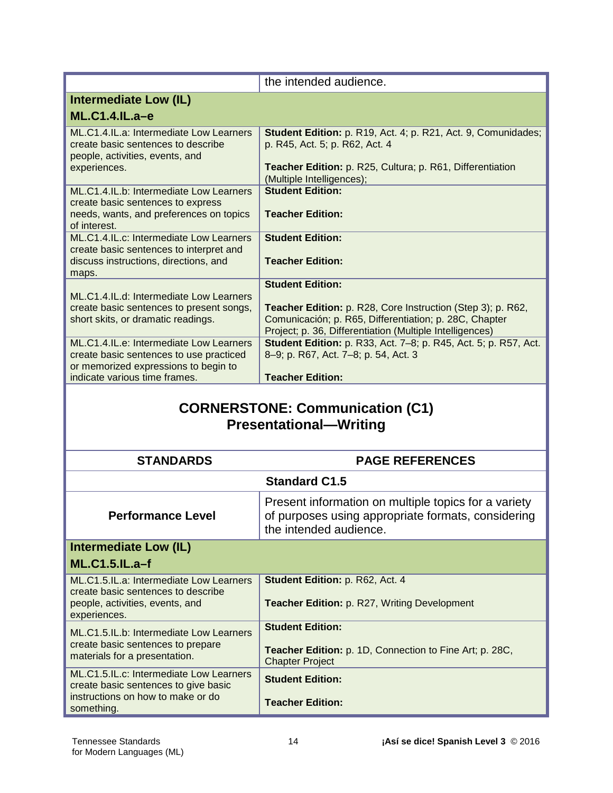|                                                                                                                            | the intended audience.                                                                                                                                                                   |
|----------------------------------------------------------------------------------------------------------------------------|------------------------------------------------------------------------------------------------------------------------------------------------------------------------------------------|
| Intermediate Low (IL)                                                                                                      |                                                                                                                                                                                          |
| $ML.C1.4.IL.a-e$                                                                                                           |                                                                                                                                                                                          |
| ML.C1.4.IL.a: Intermediate Low Learners<br>create basic sentences to describe<br>people, activities, events, and           | Student Edition: p. R19, Act. 4; p. R21, Act. 9, Comunidades;<br>p. R45, Act. 5; p. R62, Act. 4                                                                                          |
| experiences.                                                                                                               | Teacher Edition: p. R25, Cultura; p. R61, Differentiation<br>(Multiple Intelligences);                                                                                                   |
| ML.C1.4.IL.b: Intermediate Low Learners<br>create basic sentences to express                                               | <b>Student Edition:</b>                                                                                                                                                                  |
| needs, wants, and preferences on topics<br>of interest.                                                                    | <b>Teacher Edition:</b>                                                                                                                                                                  |
| ML.C1.4.IL.c: Intermediate Low Learners<br>create basic sentences to interpret and                                         | <b>Student Edition:</b>                                                                                                                                                                  |
| discuss instructions, directions, and<br>maps.                                                                             | <b>Teacher Edition:</b>                                                                                                                                                                  |
| ML.C1.4.IL.d: Intermediate Low Learners                                                                                    | <b>Student Edition:</b>                                                                                                                                                                  |
| create basic sentences to present songs,<br>short skits, or dramatic readings.                                             | <b>Teacher Edition:</b> p. R28, Core Instruction (Step 3); p. R62,<br>Comunicación; p. R65, Differentiation; p. 28C, Chapter<br>Project; p. 36, Differentiation (Multiple Intelligences) |
| ML.C1.4.IL.e: Intermediate Low Learners<br>create basic sentences to use practiced<br>or memorized expressions to begin to | <b>Student Edition:</b> p. R33, Act. 7-8; p. R45, Act. 5; p. R57, Act.<br>8-9; p. R67, Act. 7-8; p. 54, Act. 3                                                                           |
| indicate various time frames.                                                                                              | <b>Teacher Edition:</b>                                                                                                                                                                  |

## **CORNERSTONE: Communication (C1) Presentational—Writing**

| <b>STANDARDS</b>                                                                                                                   | <b>PAGE REFERENCES</b>                                                                                                               |
|------------------------------------------------------------------------------------------------------------------------------------|--------------------------------------------------------------------------------------------------------------------------------------|
| <b>Standard C1.5</b>                                                                                                               |                                                                                                                                      |
| <b>Performance Level</b>                                                                                                           | Present information on multiple topics for a variety<br>of purposes using appropriate formats, considering<br>the intended audience. |
| <b>Intermediate Low (IL)</b>                                                                                                       |                                                                                                                                      |
| <b>ML.C1.5.IL.a-f</b>                                                                                                              |                                                                                                                                      |
| ML.C1.5.IL.a: Intermediate Low Learners<br>create basic sentences to describe<br>people, activities, events, and<br>experiences.   | Student Edition: p. R62, Act. 4<br><b>Teacher Edition: p. R27, Writing Development</b>                                               |
| ML.C1.5.IL.b: Intermediate Low Learners<br>create basic sentences to prepare<br>materials for a presentation.                      | <b>Student Edition:</b><br>Teacher Edition: p. 1D, Connection to Fine Art; p. 28C,<br><b>Chapter Project</b>                         |
| ML.C1.5.IL.c: Intermediate Low Learners<br>create basic sentences to give basic<br>instructions on how to make or do<br>something. | <b>Student Edition:</b><br><b>Teacher Edition:</b>                                                                                   |